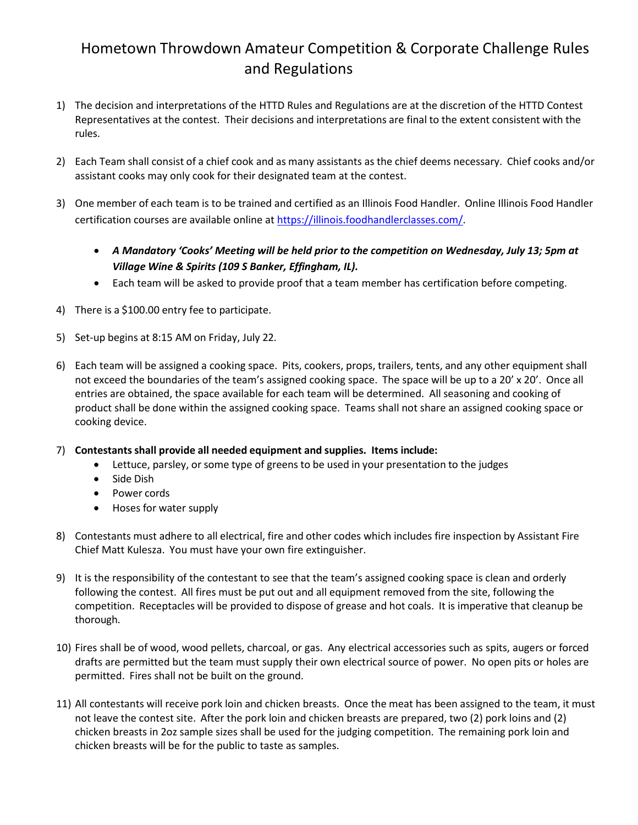## Hometown Throwdown Amateur Competition & Corporate Challenge Rules and Regulations

- 1) The decision and interpretations of the HTTD Rules and Regulations are at the discretion of the HTTD Contest Representatives at the contest. Their decisions and interpretations are final to the extent consistent with the rules.
- 2) Each Team shall consist of a chief cook and as many assistants as the chief deems necessary. Chief cooks and/or assistant cooks may only cook for their designated team at the contest.
- 3) One member of each team is to be trained and certified as an Illinois Food Handler. Online Illinois Food Handler certification courses are available online at [https://illinois.foodhandlerclasses.com/.](https://illinois.foodhandlerclasses.com/)
	- *A Mandatory 'Cooks' Meeting will be held prior to the competition on Wednesday, July 13; 5pm at Village Wine & Spirits (109 S Banker, Effingham, IL).*
	- Each team will be asked to provide proof that a team member has certification before competing.
- 4) There is a \$100.00 entry fee to participate.
- 5) Set-up begins at 8:15 AM on Friday, July 22.
- 6) Each team will be assigned a cooking space. Pits, cookers, props, trailers, tents, and any other equipment shall not exceed the boundaries of the team's assigned cooking space. The space will be up to a 20' x 20'. Once all entries are obtained, the space available for each team will be determined. All seasoning and cooking of product shall be done within the assigned cooking space. Teams shall not share an assigned cooking space or cooking device.
- 7) **Contestantsshall provide all needed equipment and supplies. Items include:**
	- Lettuce, parsley, or some type of greens to be used in your presentation to the judges
	- Side Dish
	- Power cords
	- Hoses for water supply
- 8) Contestants must adhere to all electrical, fire and other codes which includes fire inspection by Assistant Fire Chief Matt Kulesza. You must have your own fire extinguisher.
- 9) It is the responsibility of the contestant to see that the team's assigned cooking space is clean and orderly following the contest. All fires must be put out and all equipment removed from the site, following the competition. Receptacles will be provided to dispose of grease and hot coals. It is imperative that cleanup be thorough.
- 10) Fires shall be of wood, wood pellets, charcoal, or gas. Any electrical accessories such as spits, augers or forced drafts are permitted but the team must supply their own electrical source of power. No open pits or holes are permitted. Fires shall not be built on the ground.
- 11) All contestants will receive pork loin and chicken breasts. Once the meat has been assigned to the team, it must not leave the contest site. After the pork loin and chicken breasts are prepared, two (2) pork loins and (2) chicken breasts in 2oz sample sizes shall be used for the judging competition. The remaining pork loin and chicken breasts will be for the public to taste as samples.